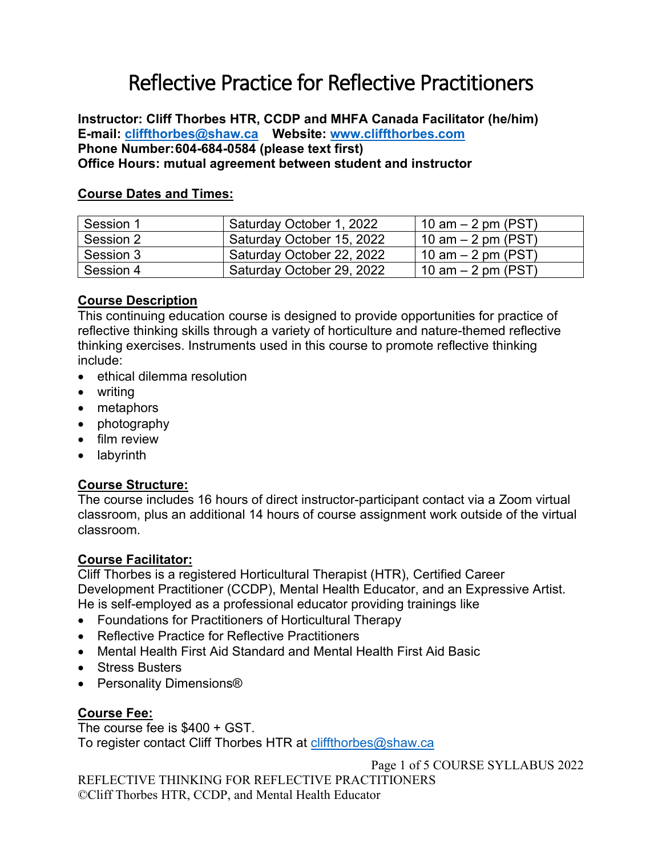# Reflective Practice for Reflective Practitioners

**Instructor: Cliff Thorbes HTR, CCDP and MHFA Canada Facilitator (he/him) E-mail: [cliffthorbes@shaw.ca](mailto:cliffthorbes@shaw.ca) Website: [www.cliffthorbes.com](http://www.cliffthorbes.com/) Phone Number:604-684-0584 (please text first) Office Hours: mutual agreement between student and instructor**

#### **Course Dates and Times:**

| Session 1 | Saturday October 1, 2022  | 10 am $-$ 2 pm (PST) |
|-----------|---------------------------|----------------------|
| Session 2 | Saturday October 15, 2022 | 10 am $-$ 2 pm (PST) |
| Session 3 | Saturday October 22, 2022 | 10 am $-$ 2 pm (PST) |
| Session 4 | Saturday October 29, 2022 | 10 am $-$ 2 pm (PST) |

## **Course Description**

This continuing education course is designed to provide opportunities for practice of reflective thinking skills through a variety of horticulture and nature-themed reflective thinking exercises. Instruments used in this course to promote reflective thinking include:

- ethical dilemma resolution
- writing
- metaphors
- photography
- film review
- labyrinth

#### **Course Structure:**

The course includes 16 hours of direct instructor-participant contact via a Zoom virtual classroom, plus an additional 14 hours of course assignment work outside of the virtual classroom.

#### **Course Facilitator:**

Cliff Thorbes is a registered Horticultural Therapist (HTR), Certified Career Development Practitioner (CCDP), Mental Health Educator, and an Expressive Artist. He is self-employed as a professional educator providing trainings like

- Foundations for Practitioners of Horticultural Therapy
- Reflective Practice for Reflective Practitioners
- Mental Health First Aid Standard and Mental Health First Aid Basic
- Stress Busters
- Personality Dimensions®

# **Course Fee:**

The course fee is \$400 + GST. To register contact Cliff Thorbes HTR at [cliffthorbes@shaw.ca](mailto:cliffthorbes@shaw.ca)

Page 1 of 5 COURSE SYLLABUS 2022

REFLECTIVE THINKING FOR REFLECTIVE PRACTITIONERS ©Cliff Thorbes HTR, CCDP, and Mental Health Educator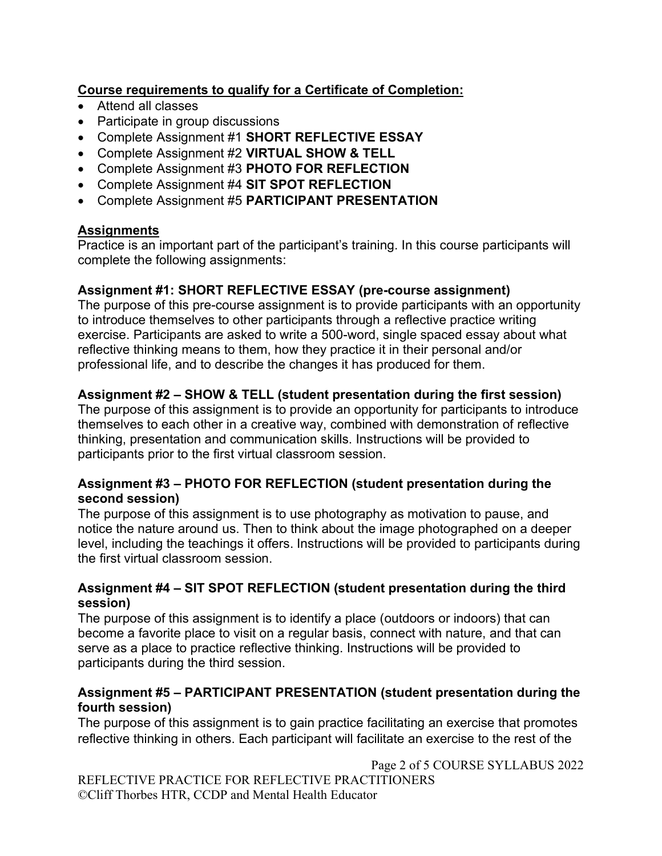# **Course requirements to qualify for a Certificate of Completion:**

- Attend all classes
- Participate in group discussions
- Complete Assignment #1 **SHORT REFLECTIVE ESSAY**
- Complete Assignment #2 **VIRTUAL SHOW & TELL**
- Complete Assignment #3 **PHOTO FOR REFLECTION**
- Complete Assignment #4 **SIT SPOT REFLECTION**
- Complete Assignment #5 **PARTICIPANT PRESENTATION**

# **Assignments**

Practice is an important part of the participant's training. In this course participants will complete the following assignments:

# **Assignment #1: SHORT REFLECTIVE ESSAY (pre-course assignment)**

The purpose of this pre-course assignment is to provide participants with an opportunity to introduce themselves to other participants through a reflective practice writing exercise. Participants are asked to write a 500-word, single spaced essay about what reflective thinking means to them, how they practice it in their personal and/or professional life, and to describe the changes it has produced for them.

# **Assignment #2 – SHOW & TELL (student presentation during the first session)**

The purpose of this assignment is to provide an opportunity for participants to introduce themselves to each other in a creative way, combined with demonstration of reflective thinking, presentation and communication skills. Instructions will be provided to participants prior to the first virtual classroom session.

# **Assignment #3 – PHOTO FOR REFLECTION (student presentation during the second session)**

The purpose of this assignment is to use photography as motivation to pause, and notice the nature around us. Then to think about the image photographed on a deeper level, including the teachings it offers. Instructions will be provided to participants during the first virtual classroom session.

## **Assignment #4 – SIT SPOT REFLECTION (student presentation during the third session)**

The purpose of this assignment is to identify a place (outdoors or indoors) that can become a favorite place to visit on a regular basis, connect with nature, and that can serve as a place to practice reflective thinking. Instructions will be provided to participants during the third session.

# **Assignment #5 – PARTICIPANT PRESENTATION (student presentation during the fourth session)**

The purpose of this assignment is to gain practice facilitating an exercise that promotes reflective thinking in others. Each participant will facilitate an exercise to the rest of the

Page 2 of 5 COURSE SYLLABUS 2022

REFLECTIVE PRACTICE FOR REFLECTIVE PRACTITIONERS ©Cliff Thorbes HTR, CCDP and Mental Health Educator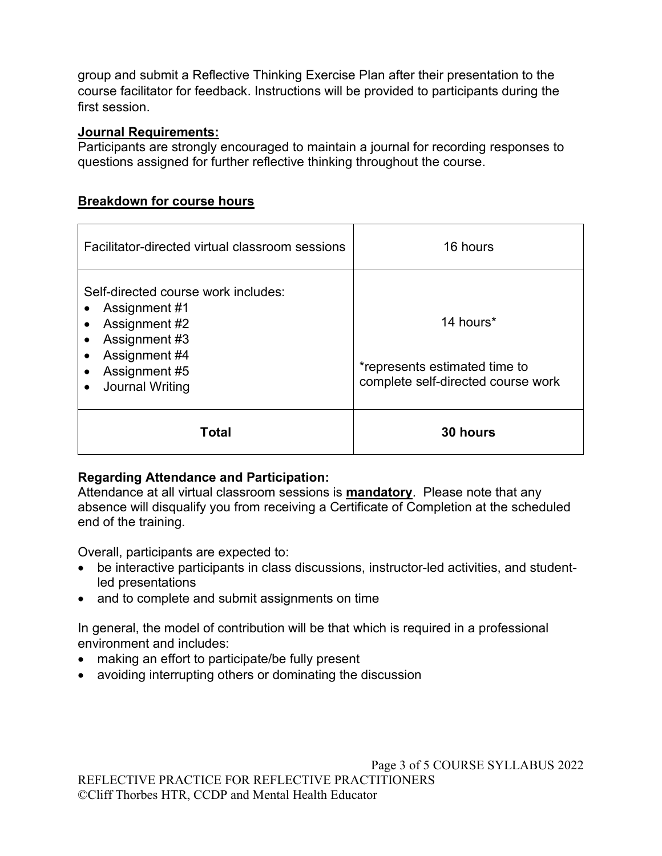group and submit a Reflective Thinking Exercise Plan after their presentation to the course facilitator for feedback. Instructions will be provided to participants during the first session.

# **Journal Requirements:**

Participants are strongly encouraged to maintain a journal for recording responses to questions assigned for further reflective thinking throughout the course.

# **Breakdown for course hours**

| Facilitator-directed virtual classroom sessions                                                                                                                                                                                  | 16 hours                                                                         |
|----------------------------------------------------------------------------------------------------------------------------------------------------------------------------------------------------------------------------------|----------------------------------------------------------------------------------|
| Self-directed course work includes:<br>Assignment #1<br>$\bullet$<br>Assignment #2<br>$\bullet$<br>Assignment #3<br>$\bullet$<br>Assignment #4<br>$\bullet$<br>Assignment #5<br>$\bullet$<br><b>Journal Writing</b><br>$\bullet$ | 14 hours*<br>*represents estimated time to<br>complete self-directed course work |
| Total                                                                                                                                                                                                                            | 30 hours                                                                         |

# **Regarding Attendance and Participation:**

Attendance at all virtual classroom sessions is **mandatory**. Please note that any absence will disqualify you from receiving a Certificate of Completion at the scheduled end of the training.

Overall, participants are expected to:

- be interactive participants in class discussions, instructor-led activities, and studentled presentations
- and to complete and submit assignments on time

In general, the model of contribution will be that which is required in a professional environment and includes:

- making an effort to participate/be fully present
- avoiding interrupting others or dominating the discussion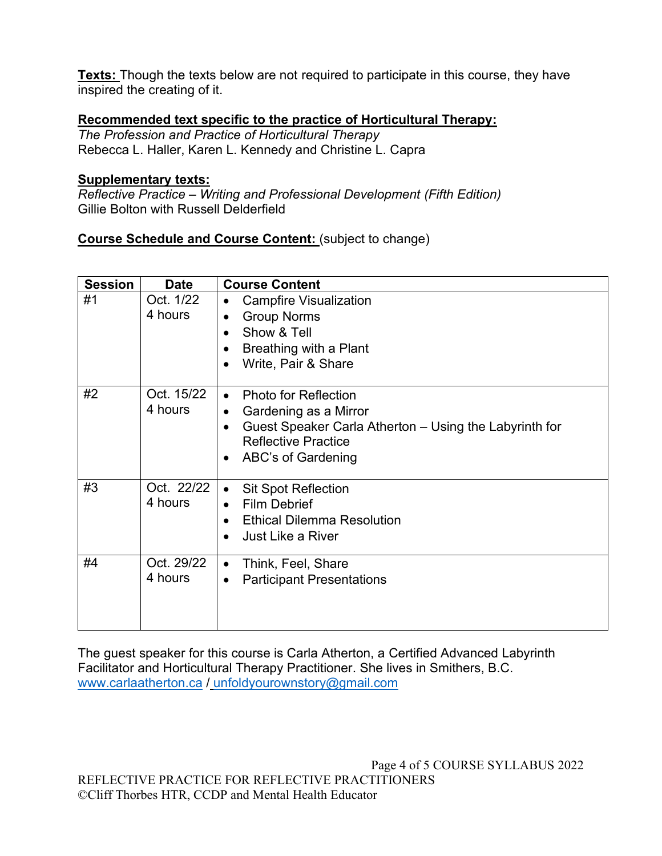**Texts:** Though the texts below are not required to participate in this course, they have inspired the creating of it.

# **Recommended text specific to the practice of Horticultural Therapy:**

*The Profession and Practice of Horticultural Therapy* Rebecca L. Haller, Karen L. Kennedy and Christine L. Capra

#### **Supplementary texts:**

*Reflective Practice – Writing and Professional Development (Fifth Edition)*  Gillie Bolton with Russell Delderfield

**Course Schedule and Course Content:** (subject to change)

| <b>Session</b> | <b>Date</b>           | <b>Course Content</b>                                                                                                                                                                        |
|----------------|-----------------------|----------------------------------------------------------------------------------------------------------------------------------------------------------------------------------------------|
| #1             | Oct. 1/22<br>4 hours  | <b>Campfire Visualization</b><br><b>Group Norms</b><br>Show & Tell<br>Breathing with a Plant<br>Write, Pair & Share                                                                          |
| #2             | Oct. 15/22<br>4 hours | <b>Photo for Reflection</b><br>$\bullet$<br>Gardening as a Mirror<br>$\bullet$<br>Guest Speaker Carla Atherton – Using the Labyrinth for<br><b>Reflective Practice</b><br>ABC's of Gardening |
| #3             | Oct. 22/22<br>4 hours | <b>Sit Spot Reflection</b><br>$\bullet$<br><b>Film Debrief</b><br>$\bullet$<br><b>Ethical Dilemma Resolution</b><br><b>Just Like a River</b>                                                 |
| #4             | Oct. 29/22<br>4 hours | Think, Feel, Share<br>$\bullet$<br><b>Participant Presentations</b>                                                                                                                          |

The guest speaker for this course is Carla Atherton, a Certified Advanced Labyrinth Facilitator and Horticultural Therapy Practitioner. She lives in Smithers, B.C. [www.carlaatherton.ca](http://www.carlaatherton.ca/) / [unfoldyourownstory@gmail.com](mailto:unfoldyourownstory@gmail.com)